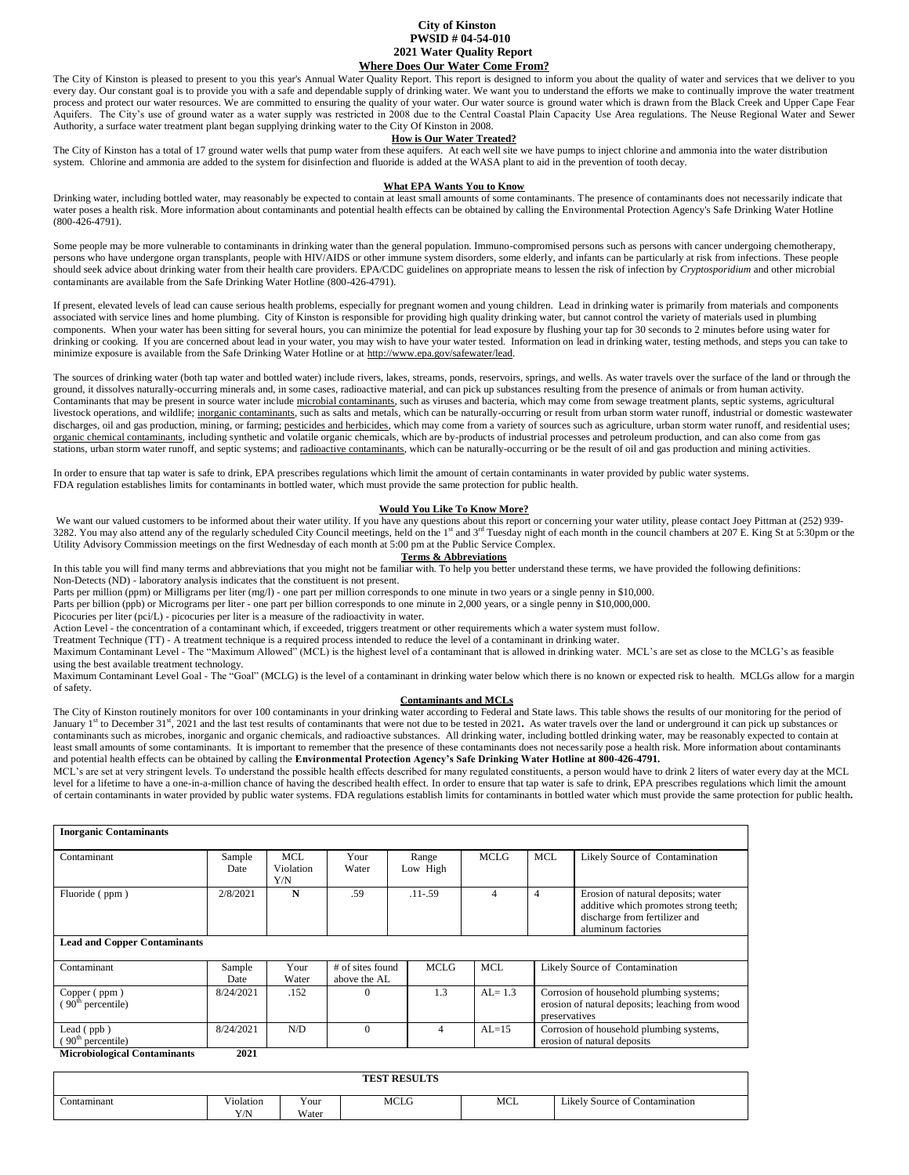# **City of Kinston PWSID # 04-54-010 2021 Water Quality Report Where Does Our Water Come From?**

The City of Kinston is pleased to present to you this year's Annual Water Quality Report. This report is designed to inform you about the quality of water and services that we deliver to you every day. Our constant goal is to provide you with a safe and dependable supply of drinking water. We want you to understand the efforts we make to continually improve the water treatment process and protect our water resources. We are committed to ensuring the quality of your water. Our water source is ground water which is drawn from the Black Creek and Upper Cape Fear Aquifers. The City's use of ground water as a water supply was restricted in 2008 due to the Central Coastal Plain Capacity Use Area regulations. The Neuse Regional Water and Sewer Authority, a surface water treatment plant began supplying drinking water to the City Of Kinston in 2008.

# **How is Our Water Treated?**

The City of Kinston has a total of 17 ground water wells that pump water from these aquifers. At each well site we have pumps to inject chlorine and ammonia into the water distribution system. Chlorine and ammonia are added to the system for disinfection and fluoride is added at the WASA plant to aid in the prevention of tooth decay.

# **What EPA Wants You to Know**

Drinking water, including bottled water, may reasonably be expected to contain at least small amounts of some contaminants. The presence of contaminants does not necessarily indicate that water poses a health risk. More information about contaminants and potential health effects can be obtained by calling the Environmental Protection Agency's Safe Drinking Water Hotline (800-426-4791).

Some people may be more vulnerable to contaminants in drinking water than the general population. Immuno-compromised persons such as persons with cancer undergoing chemotherapy, persons who have undergone organ transplants, people with HIV/AIDS or other immune system disorders, some elderly, and infants can be particularly at risk from infections. These people should seek advice about drinking water from their health care providers. EPA/CDC guidelines on appropriate means to lessen the risk of infection by *Cryptosporidium* and other microbial contaminants are available from the Safe Drinking Water Hotline (800-426-4791).

If present, elevated levels of lead can cause serious health problems, especially for pregnant women and young children. Lead in drinking water is primarily from materials and components associated with service lines and home plumbing. City of Kinston is responsible for providing high quality drinking water, but cannot control the variety of materials used in plumbing components. When your water has been sitting for several hours, you can minimize the potential for lead exposure by flushing your tap for 30 seconds to 2 minutes before using water for drinking or cooking. If you are concerned about lead in your water, you may wish to have your water tested. Information on lead in drinking water, testing methods, and steps you can take to minimize exposure is available from the Safe Drinking Water Hotline or a[t http://www.epa.gov/safewater/lead.](http://www.epa.gov/safewater/lead) 

The sources of drinking water (both tap water and bottled water) include rivers, lakes, streams, ponds, reservoirs, springs, and wells. As water travels over the surface of the land or through the ground, it dissolves naturally-occurring minerals and, in some cases, radioactive material, and can pick up substances resulting from the presence of animals or from human activity. Contaminants that may be present in source water include microbial contaminants, such as viruses and bacteria, which may come from sewage treatment plants, septic systems, agricultural livestock operations, and wildlife; inorganic contaminants, such as salts and metals, which can be naturally-occurring or result from urban storm water runoff, industrial or domestic wastewater discharges, oil and gas production, mining, or farming; pesticides and herbicides, which may come from a variety of sources such as agriculture, urban storm water runoff, and residential uses; organic chemical contaminants, including synthetic and volatile organic chemicals, which are by-products of industrial processes and petroleum production, and can also come from gas stations, urban storm water runoff, and septic systems; and radioactive contaminants, which can be naturally-occurring or be the result of oil and gas production and mining activities.

In order to ensure that tap water is safe to drink, EPA prescribes regulations which limit the amount of certain contaminants in water provided by public water systems. FDA regulation establishes limits for contaminants in bottled water, which must provide the same protection for public health.

### **Would You Like To Know More?**

We want our valued customers to be informed about their water utility. If you have any questions about this report or concerning your water utility, please contact Joey Pittman at (252) 939-3282. You may also attend any of the regularly scheduled City Council meetings, held on the 1<sup>st</sup> and 3<sup>rd</sup> Tuesday night of each month in the council chambers at 207 E. King St at 5:30pm or the Utility Advisory Commission meetings on the first Wednesday of each month at 5:00 pm at the Public Service Complex.

## **Terms & Abbreviations**

In this table you will find many terms and abbreviations that you might not be familiar with. To help you better understand these terms, we have provided the following definitions:

Non-Detects (ND) - laboratory analysis indicates that the constituent is not present. Parts per million (ppm) or Milligrams per liter (mg/l) - one part per million corresponds to one minute in two years or a single penny in \$10,000.

Parts per billion (ppb) or Micrograms per liter - one part per billion corresponds to one minute in 2,000 years, or a single penny in \$10,000,000.

Picocuries per liter (pci/L) - picocuries per liter is a measure of the radioactivity in water.

Action Level - the concentration of a contaminant which, if exceeded, triggers treatment or other requirements which a water system must follow.

Treatment Technique (TT) - A treatment technique is a required process intended to reduce the level of a contaminant in drinking water.

Maximum Contaminant Level - The "Maximum Allowed" (MCL) is the highest level of a contaminant that is allowed in drinking water. MCL's are set as close to the MCLG's as feasible using the best available treatment technology.

Maximum Contaminant Level Goal - The "Goal" (MCLG) is the level of a contaminant in drinking water below which there is no known or expected risk to health. MCLGs allow for a margin of safety.

# **Contaminants and MCLs**

The City of Kinston routinely monitors for over 100 contaminants in your drinking water according to Federal and State laws. This table shows the results of our monitoring for the period of January 1<sup>st</sup> to December 31<sup>st</sup>, 2021 and the last test results of contaminants that were not due to be tested in 2021. As water travels over the land or underground it can pick up substances or contaminants such as microbes, inorganic and organic chemicals, and radioactive substances. All drinking water, including bottled drinking water, may be reasonably expected to contain at least small amounts of some contaminants. It is important to remember that the presence of these contaminants does not necessarily pose a health risk. More information about contaminants and potential health effects can be obtained by calling the **Environmental Protection Agency's Safe Drinking Water Hotline at 800-426-4791.**

MCL's are set at very stringent levels. To understand the possible health effects described for many regulated constituents, a person would have to drink 2 liters of water every day at the MCL level for a lifetime to have a one-in-a-million chance of having the described health effect. In order to ensure that tap water is safe to drink, EPA prescribes regulations which limit the amount of certain contaminants in water provided by public water systems. FDA regulations establish limits for contaminants in bottled water which must provide the same protection for public health**.** 

| <b>Inorganic Contaminants</b>                 |                |                         |                                  |                   |             |                |                                                                                                                                    |
|-----------------------------------------------|----------------|-------------------------|----------------------------------|-------------------|-------------|----------------|------------------------------------------------------------------------------------------------------------------------------------|
| Contaminant                                   | Sample<br>Date | MCL<br>Violation<br>Y/N | Your<br>Water                    | Range<br>Low High | <b>MCLG</b> | <b>MCL</b>     | Likely Source of Contamination                                                                                                     |
| Fluoride (ppm)                                | 2/8/2021       | N                       | .59                              | $.11 - .59$       | 4           | $\overline{4}$ | Erosion of natural deposits; water<br>additive which promotes strong teeth;<br>discharge from fertilizer and<br>aluminum factories |
| <b>Lead and Copper Contaminants</b>           |                |                         |                                  |                   |             |                |                                                                                                                                    |
| Contaminant                                   | Sample<br>Date | Your<br>Water           | # of sites found<br>above the AL | <b>MCLG</b>       | <b>MCL</b>  |                | Likely Source of Contamination                                                                                                     |
| Copper (ppm)<br>(90 <sup>th</sup> percentile) | 8/24/2021      | .152                    | $\theta$                         | 1.3               | $AL = 1.3$  | preservatives  | Corrosion of household plumbing systems;<br>erosion of natural deposits; leaching from wood                                        |
| Lead $($ ppb $)$<br>$90th$ percentile)        | 8/24/2021      | N/D                     | $\Omega$                         | 4                 | $AL=15$     |                | Corrosion of household plumbing systems,<br>erosion of natural deposits                                                            |
| <b>Microbiological Contaminants</b>           | 2021           |                         |                                  |                   |             |                |                                                                                                                                    |

|                  |                                     |               | <b>TEST RESULTS</b> |     |                                |
|------------------|-------------------------------------|---------------|---------------------|-----|--------------------------------|
| ∽<br>Contamınant | <b>v</b> v + +<br>V 10lat10n<br>Y/N | Your<br>Water | MCLG                | MCL | Likely Source of Contamination |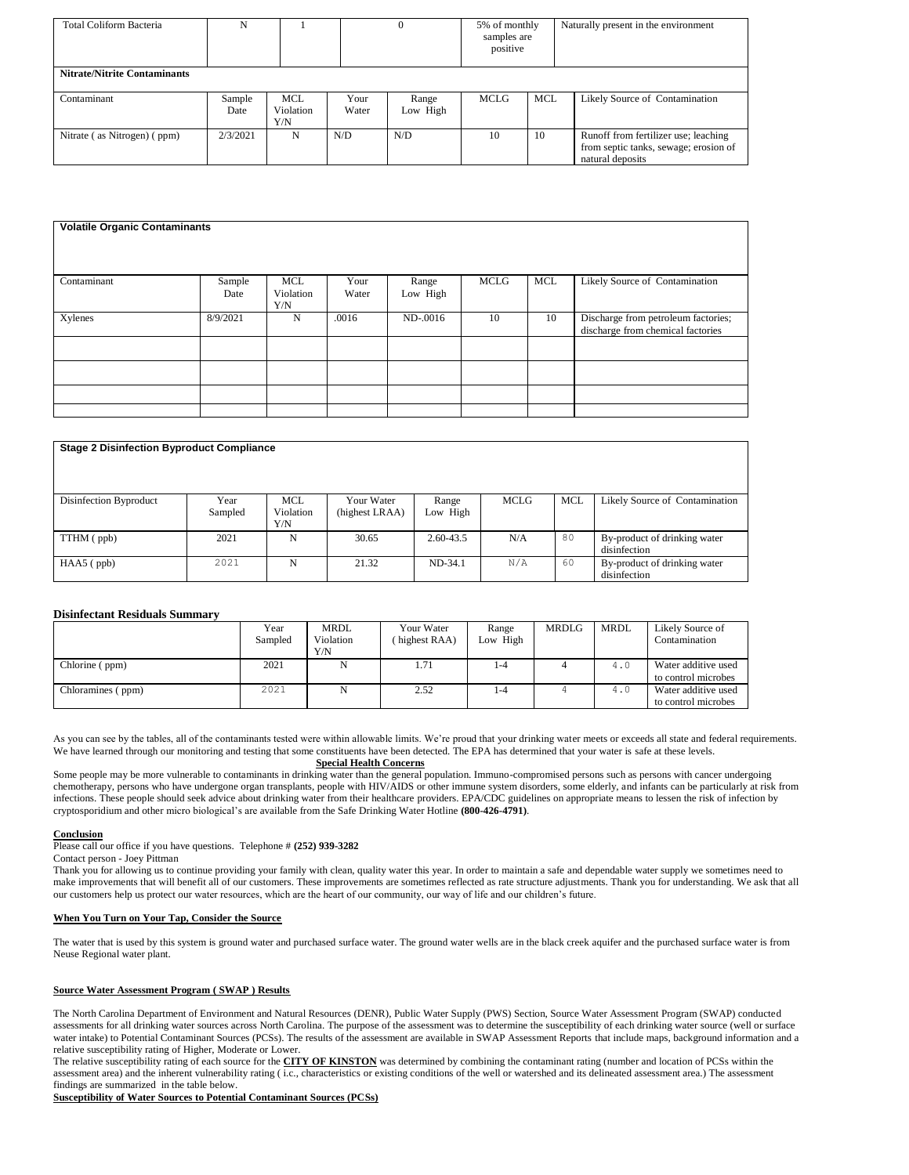| Total Coliform Bacteria             | N              |                                |               |                   |      |            |                                                                                                   | 5% of monthly<br>samples are<br>positive | Naturally present in the environment |
|-------------------------------------|----------------|--------------------------------|---------------|-------------------|------|------------|---------------------------------------------------------------------------------------------------|------------------------------------------|--------------------------------------|
| <b>Nitrate/Nitrite Contaminants</b> |                |                                |               |                   |      |            |                                                                                                   |                                          |                                      |
| Contaminant                         | Sample<br>Date | <b>MCL</b><br>Violation<br>Y/N | Your<br>Water | Range<br>Low High | MCLG | <b>MCL</b> | Likely Source of Contamination                                                                    |                                          |                                      |
| Nitrate (as Nitrogen) (ppm)         | 2/3/2021       | N                              | N/D           | N/D               | 10   | 10         | Runoff from fertilizer use; leaching<br>from septic tanks, sewage; erosion of<br>natural deposits |                                          |                                      |

| <b>Volatile Organic Contaminants</b> |                |                         |               |                   |             |            |                                                                          |
|--------------------------------------|----------------|-------------------------|---------------|-------------------|-------------|------------|--------------------------------------------------------------------------|
| Contaminant                          | Sample<br>Date | MCL<br>Violation<br>Y/N | Your<br>Water | Range<br>Low High | <b>MCLG</b> | <b>MCL</b> | Likely Source of Contamination                                           |
| Xylenes                              | 8/9/2021       | N                       | .0016         | $ND-0016$         | 10          | 10         | Discharge from petroleum factories;<br>discharge from chemical factories |
|                                      |                |                         |               |                   |             |            |                                                                          |
|                                      |                |                         |               |                   |             |            |                                                                          |
|                                      |                |                         |               |                   |             |            |                                                                          |
|                                      |                |                         |               |                   |             |            |                                                                          |

| <b>Stage 2 Disinfection Byproduct Compliance</b> |                 |                                |                              |                   |      |            |                                              |
|--------------------------------------------------|-----------------|--------------------------------|------------------------------|-------------------|------|------------|----------------------------------------------|
| Disinfection Byproduct                           | Year<br>Sampled | <b>MCL</b><br>Violation<br>Y/N | Your Water<br>(highest LRAA) | Range<br>Low High | MCLG | <b>MCL</b> | Likely Source of Contamination               |
| TTHM (ppb)                                       | 2021            | N                              | 30.65                        | 2.60-43.5         | N/A  | 80         | By-product of drinking water<br>disinfection |
| $HAA5$ (ppb)                                     | 2021            | N                              | 21.32                        | ND-34.1           | N/A  | 60         | By-product of drinking water<br>disinfection |

# **Disinfectant Residuals Summary**

|                   | Year<br>Sampled | <b>MRDL</b><br>Violation<br>Y/N | Your Water<br>(highest RAA) | Range<br>Low High | <b>MRDLG</b> | MRDL | Likely Source of<br>Contamination          |
|-------------------|-----------------|---------------------------------|-----------------------------|-------------------|--------------|------|--------------------------------------------|
| Chlorine (ppm)    | 2021            | N                               | 1.71                        | 1-4               |              | 4.0  | Water additive used<br>to control microbes |
| Chloramines (ppm) | 2021            | N                               | 2.52                        | 1-4               |              | 4.0  | Water additive used<br>to control microbes |

As you can see by the tables, all of the contaminants tested were within allowable limits. We're proud that your drinking water meets or exceeds all state and federal requirements. We have learned through our monitoring and testing that some constituents have been detected. The EPA has determined that your water is safe at these levels.

### **Special Health Concerns**

Some people may be more vulnerable to contaminants in drinking water than the general population. Immuno-compromised persons such as persons with cancer undergoing chemotherapy, persons who have undergone organ transplants, people with HIV/AIDS or other immune system disorders, some elderly, and infants can be particularly at risk from infections. These people should seek advice about drinking water from their healthcare providers. EPA/CDC guidelines on appropriate means to lessen the risk of infection by cryptosporidium and other micro biological's are available from the Safe Drinking Water Hotline **(800-426-4791)**.

#### **Conclusion**

Please call our office if you have questions. Telephone # **(252) 939-3282**

Contact person - Joey Pittman

Thank you for allowing us to continue providing your family with clean, quality water this year. In order to maintain a safe and dependable water supply we sometimes need to make improvements that will benefit all of our customers. These improvements are sometimes reflected as rate structure adjustments. Thank you for understanding. We ask that all our customers help us protect our water resources, which are the heart of our community, our way of life and our children's future.

## **When You Turn on Your Tap, Consider the Source**

The water that is used by this system is ground water and purchased surface water. The ground water wells are in the black creek aquifer and the purchased surface water is from Neuse Regional water plant.

# **Source Water Assessment Program ( SWAP ) Results**

The North Carolina Department of Environment and Natural Resources (DENR), Public Water Supply (PWS) Section, Source Water Assessment Program (SWAP) conducted assessments for all drinking water sources across North Carolina. The purpose of the assessment was to determine the susceptibility of each drinking water source (well or surface water intake) to Potential Contaminant Sources (PCSs). The results of the assessment are available in SWAP Assessment Reports that include maps, background information and a relative susceptibility rating of Higher, Moderate or Lower.

The relative susceptibility rating of each source for the **CITY OF KINSTON** was determined by combining the contaminant rating (number and location of PCSs within the assessment area) and the inherent vulnerability rating (i.c., characteristics or existing conditions of the well or watershed and its delineated assessment area.) The assessment findings are summarized in the table below.

**Susceptibility of Water Sources to Potential Contaminant Sources (PCSs)**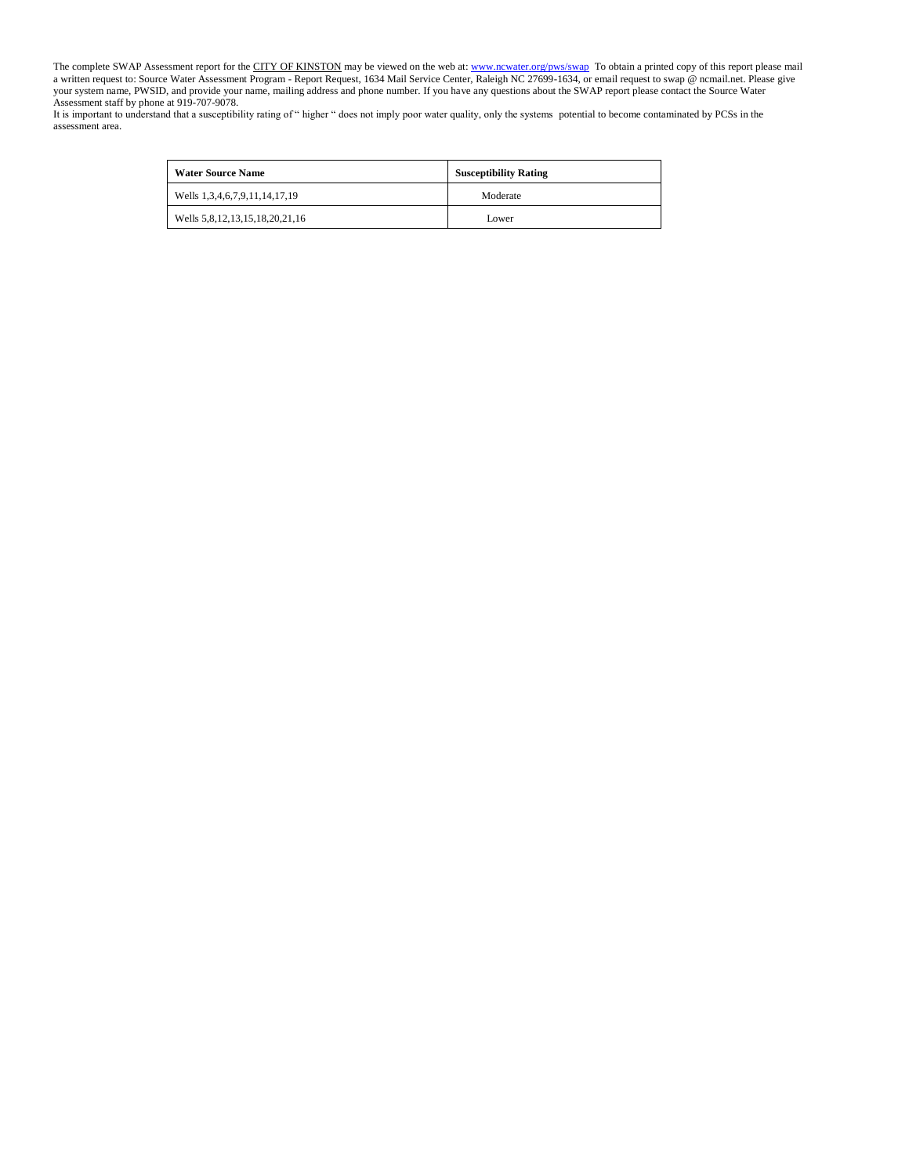The complete SWAP Assessment report for the CITY OF KINSTON may be viewed on the web at[: www.ncwater.org/pws/swap](http://www.ncwater.org/pws/swap) To obtain a printed copy of this report please mail a written request to: Source Water Assessment Program - Report Request, 1634 Mail Service Center, Raleigh NC 27699-1634, or email request to swap @ ncmail.net. Please give your system name, PWSID, and provide your name, mailing address and phone number. If you have any questions about the SWAP report please contact the Source Water Assessment staff by phone at 919-707-9078.

It is important to understand that a susceptibility rating of " higher " does not imply poor water quality, only the systems potential to become contaminated by PCSs in the assessment area.

| <b>Water Source Name</b>       | <b>Susceptibility Rating</b> |
|--------------------------------|------------------------------|
| Wells 1,3,4,6,7,9,11,14,17,19  | Moderate                     |
| Wells 5,8,12,13,15,18,20,21,16 | Lower                        |